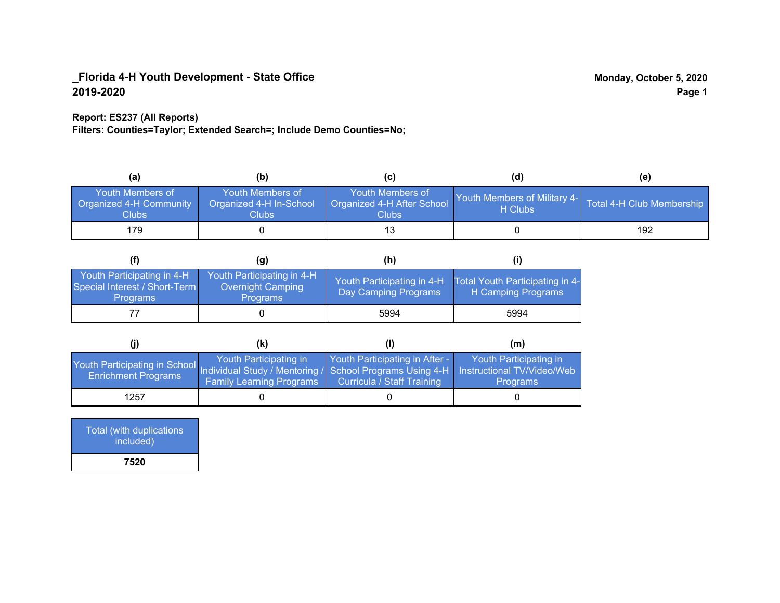## **Report: ES237 (All Reports)**

**Filters: Counties=Taylor; Extended Search=; Include Demo Counties=No;**

| (a                                                                 | (b)                                                  | (C)                                                       | (d)                                                               | (e) |
|--------------------------------------------------------------------|------------------------------------------------------|-----------------------------------------------------------|-------------------------------------------------------------------|-----|
| <b>Youth Members of</b><br><b>Organized 4-H Community</b><br>Clubs | Youth Members of<br>Organized 4-H In-School<br>Clubs | Youth Members of<br>Organized 4-H After School<br>Clubs : | Youth Members of Military 4- Total 4-H Club Membership<br>H Clubs |     |
| 179                                                                |                                                      |                                                           |                                                                   | 192 |

|                                                                                | (g)                                                                | (h)                                                |                                                       |
|--------------------------------------------------------------------------------|--------------------------------------------------------------------|----------------------------------------------------|-------------------------------------------------------|
| Youth Participating in 4-H<br>Special Interest / Short-Term<br><b>Programs</b> | Youth Participating in 4-H<br>Overnight Camping<br><b>Programs</b> | Youth Participating in 4-H<br>Day Camping Programs | Total Youth Participating in 4-<br>H Camping Programs |
|                                                                                |                                                                    | 5994                                               | 5994                                                  |

|                                                                                                                                                 | (K)                                                       |                                                                     | (m)                                       |
|-------------------------------------------------------------------------------------------------------------------------------------------------|-----------------------------------------------------------|---------------------------------------------------------------------|-------------------------------------------|
| Youth Participating in School Individual Study / Mentoring / School Programs Using 4-H Instructional TV/Video/Web<br><b>Enrichment Programs</b> | Youth Participating in<br><b>Family Learning Programs</b> | Youth Participating in After -<br><b>Curricula / Staff Training</b> | Youth Participating in<br><b>Programs</b> |
| 1257                                                                                                                                            |                                                           |                                                                     |                                           |

| Total (with duplications<br>included) |  |
|---------------------------------------|--|
| 7520                                  |  |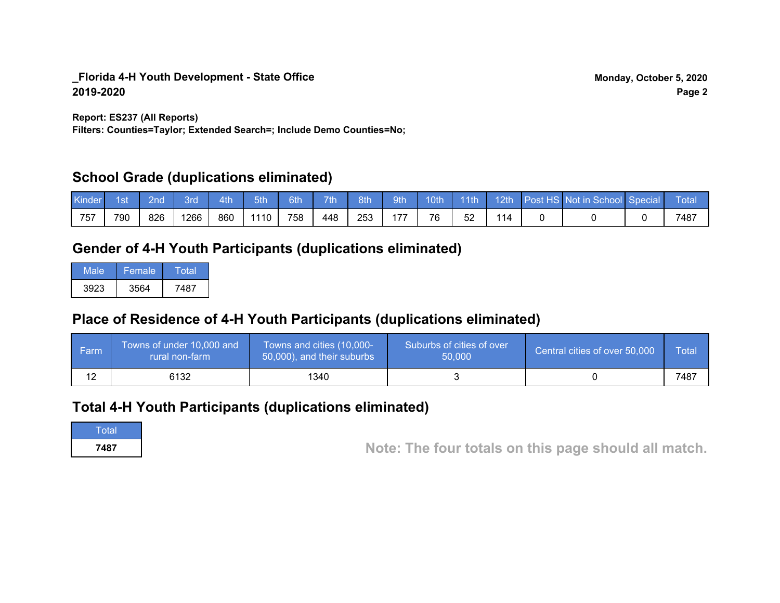**Report: ES237 (All Reports)**

**Filters: Counties=Taylor; Extended Search=; Include Demo Counties=No;**

# **School Grade (duplications eliminated)**

| Kinder | 1st | 2nd | 3rd  | 4th | 5th  | 6th | 7th | 8th | 9th | <b>Moth</b> | $-11th$ | 12th | Post HS Not in School Special | <b>Total</b> |
|--------|-----|-----|------|-----|------|-----|-----|-----|-----|-------------|---------|------|-------------------------------|--------------|
| 757    | 790 | 826 | 1266 | 860 | 1110 | 758 | 448 | 253 | 177 | 76          | 52      | 114  |                               | 7487         |

# **Gender of 4-H Youth Participants (duplications eliminated)**

| Male | 'Female | Total |
|------|---------|-------|
| 3923 | 3564    | 7487  |

# **Place of Residence of 4-H Youth Participants (duplications eliminated)**

| ∣ Farm | Towns of under 10,000 and<br>rural non-farm | Towns and cities (10,000-<br>50,000), and their suburbs | Suburbs of cities of over<br>50,000 | Central cities of over 50,000 | Total |
|--------|---------------------------------------------|---------------------------------------------------------|-------------------------------------|-------------------------------|-------|
|        | 6132                                        | 1340                                                    |                                     |                               | 7487  |

# **Total 4-H Youth Participants (duplications eliminated)**

**Total** 

**<sup>7487</sup> Note: The four totals on this page should all match.**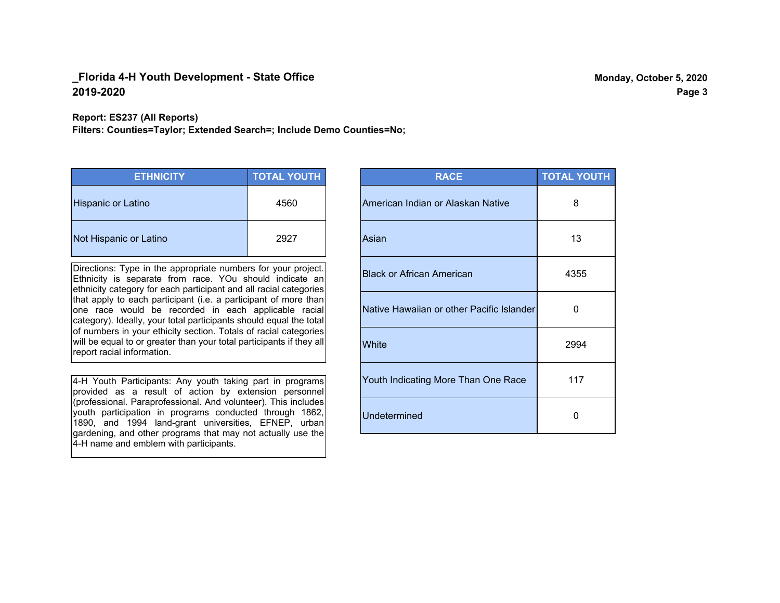**Report: ES237 (All Reports)**

**Filters: Counties=Taylor; Extended Search=; Include Demo Counties=No;**

| <b>ETHNICITY</b>       | <b>TOTAL YOUTH</b> |
|------------------------|--------------------|
| Hispanic or Latino     | 4560               |
| Not Hispanic or Latino | 2927               |

Directions: Type in the appropriate numbers for your project. Ethnicity is separate from race. YOu should indicate an ethnicity category for each participant and all racial categories that apply to each participant (i.e. a participant of more than one race would be recorded in each applicable racial category). Ideally, your total participants should equal the total of numbers in your ethicity section. Totals of racial categories will be equal to or greater than your total participants if they all report racial information.

4-H Youth Participants: Any youth taking part in programs provided as a result of action by extension personnel (professional. Paraprofessional. And volunteer). This includes youth participation in programs conducted through 1862, 1890, and 1994 land-grant universities, EFNEP, urban gardening, and other programs that may not actually use the 4-H name and emblem with participants.

| <b>RACE</b>                               | <b>TOTAL YOUTH</b> |
|-------------------------------------------|--------------------|
| American Indian or Alaskan Native         | 8                  |
| Asian                                     | 13                 |
| <b>Black or African American</b>          | 4355               |
| Native Hawaiian or other Pacific Islander | 0                  |
| White                                     | 2994               |
| Youth Indicating More Than One Race       | 117                |
| <b>Undetermined</b>                       | 0                  |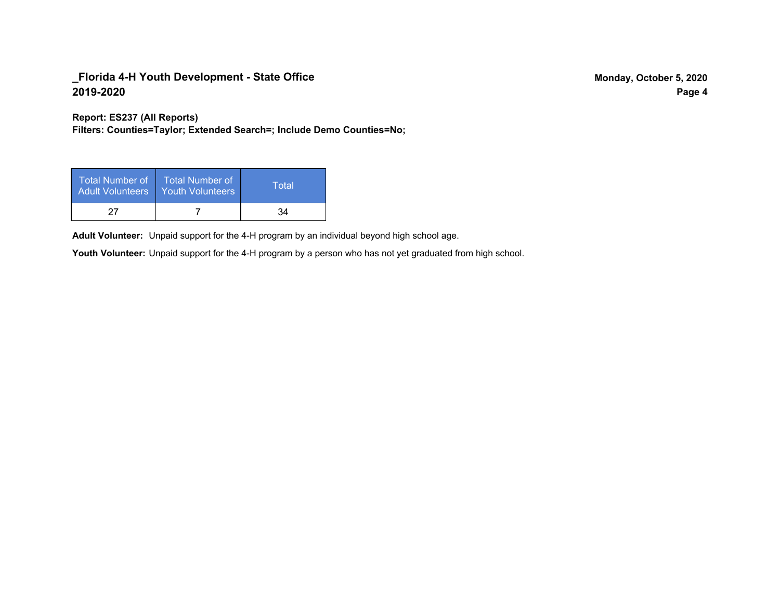**Report: ES237 (All Reports)**

**Filters: Counties=Taylor; Extended Search=; Include Demo Counties=No;**

| Total Number of<br><b>Adult Volunteers</b> | <b>Total Number of</b><br><b>Youth Volunteers</b> | Total |
|--------------------------------------------|---------------------------------------------------|-------|
| 27                                         |                                                   | 34    |

Adult Volunteer: Unpaid support for the 4-H program by an individual beyond high school age.

Youth Volunteer: Unpaid support for the 4-H program by a person who has not yet graduated from high school.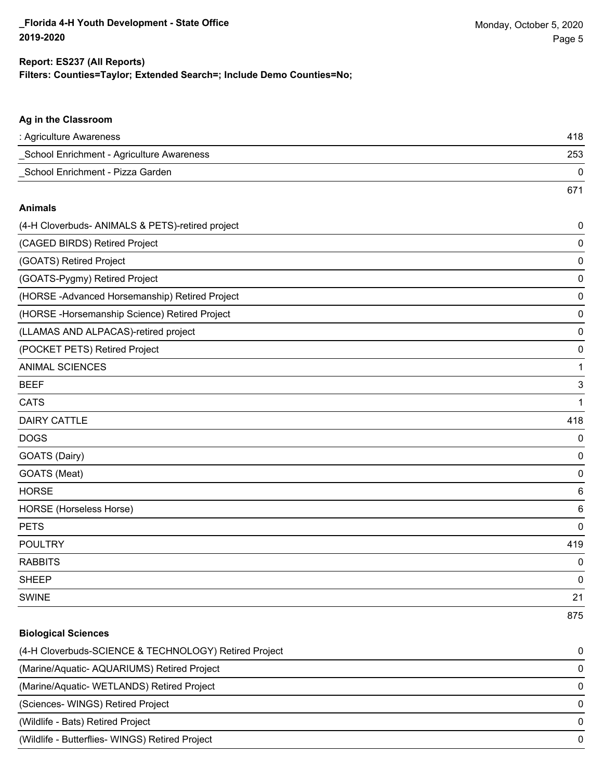### **Ag in the Classroom**

| : Agriculture Awareness                   | 418 |
|-------------------------------------------|-----|
| School Enrichment - Agriculture Awareness | 253 |
| School Enrichment - Pizza Garden          |     |
|                                           | 671 |

#### **Animals**

| (4-H Cloverbuds- ANIMALS & PETS)-retired project | $\pmb{0}$   |
|--------------------------------------------------|-------------|
| (CAGED BIRDS) Retired Project                    | 0           |
| (GOATS) Retired Project                          | 0           |
| (GOATS-Pygmy) Retired Project                    | $\mathbf 0$ |
| (HORSE-Advanced Horsemanship) Retired Project    | 0           |
| (HORSE-Horsemanship Science) Retired Project     | 0           |
| (LLAMAS AND ALPACAS)-retired project             | 0           |
| (POCKET PETS) Retired Project                    | 0           |
| <b>ANIMAL SCIENCES</b>                           | 1           |
| <b>BEEF</b>                                      | 3           |
| <b>CATS</b>                                      | 1           |
| <b>DAIRY CATTLE</b>                              | 418         |
| <b>DOGS</b>                                      | 0           |
| GOATS (Dairy)                                    | 0           |
| GOATS (Meat)                                     | 0           |
| <b>HORSE</b>                                     | 6           |
| HORSE (Horseless Horse)                          | 6           |
| <b>PETS</b>                                      | 0           |
| <b>POULTRY</b>                                   | 419         |
| <b>RABBITS</b>                                   | 0           |
| <b>SHEEP</b>                                     | 0           |
| <b>SWINE</b>                                     | 21          |
|                                                  | 875         |

## **Biological Sciences**

| (4-H Cloverbuds-SCIENCE & TECHNOLOGY) Retired Project | $\Omega$ |
|-------------------------------------------------------|----------|
| (Marine/Aquatic-AQUARIUMS) Retired Project            | $\Omega$ |
| (Marine/Aquatic-WETLANDS) Retired Project             | $\Omega$ |
| (Sciences-WINGS) Retired Project                      | $\Omega$ |
| (Wildlife - Bats) Retired Project                     | $\Omega$ |
| (Wildlife - Butterflies- WINGS) Retired Project       | $\Omega$ |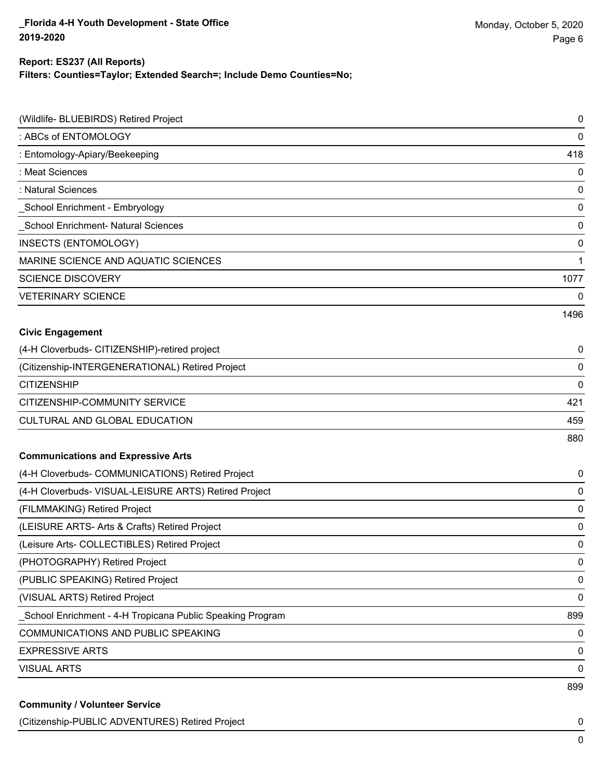## **Filters: Counties=Taylor; Extended Search=; Include Demo Counties=No; Report: ES237 (All Reports)**

| (Wildlife- BLUEBIRDS) Retired Project                      | 0    |
|------------------------------------------------------------|------|
| : ABCs of ENTOMOLOGY                                       | 0    |
| : Entomology-Apiary/Beekeeping                             | 418  |
| : Meat Sciences                                            | 0    |
| : Natural Sciences                                         | 0    |
| _School Enrichment - Embryology                            | 0    |
| <b>School Enrichment- Natural Sciences</b>                 | 0    |
| INSECTS (ENTOMOLOGY)                                       | 0    |
| MARINE SCIENCE AND AQUATIC SCIENCES                        | 1    |
| <b>SCIENCE DISCOVERY</b>                                   | 1077 |
| <b>VETERINARY SCIENCE</b>                                  | 0    |
|                                                            | 1496 |
| <b>Civic Engagement</b>                                    |      |
| (4-H Cloverbuds- CITIZENSHIP)-retired project              | 0    |
| (Citizenship-INTERGENERATIONAL) Retired Project            | 0    |
| <b>CITIZENSHIP</b>                                         | 0    |
| CITIZENSHIP-COMMUNITY SERVICE                              | 421  |
| CULTURAL AND GLOBAL EDUCATION                              | 459  |
|                                                            | 880  |
| <b>Communications and Expressive Arts</b>                  |      |
| (4-H Cloverbuds- COMMUNICATIONS) Retired Project           | 0    |
| (4-H Cloverbuds- VISUAL-LEISURE ARTS) Retired Project      | 0    |
| (FILMMAKING) Retired Project                               | 0    |
| (LEISURE ARTS- Arts & Crafts) Retired Project              | 0    |
| (Leisure Arts- COLLECTIBLES) Retired Project               | 0    |
| (PHOTOGRAPHY) Retired Project                              | 0    |
| (PUBLIC SPEAKING) Retired Project                          | 0    |
| (VISUAL ARTS) Retired Project                              | 0    |
| _School Enrichment - 4-H Tropicana Public Speaking Program | 899  |
| COMMUNICATIONS AND PUBLIC SPEAKING                         | 0    |
| <b>EXPRESSIVE ARTS</b>                                     | 0    |
| <b>VISUAL ARTS</b>                                         | 0    |
|                                                            | 899  |
| <b>Community / Volunteer Service</b>                       |      |

(Citizenship-PUBLIC ADVENTURES) Retired Project 0

0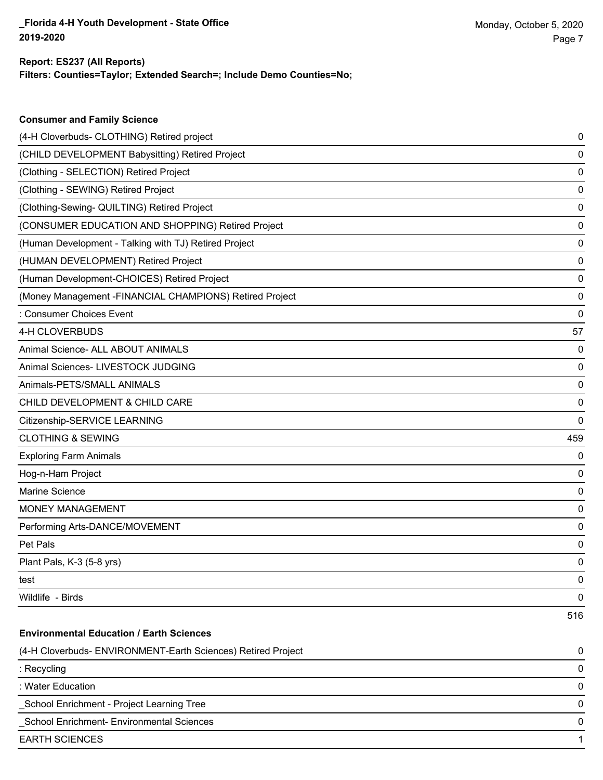**Consumer and Family Science**

## **Filters: Counties=Taylor; Extended Search=; Include Demo Counties=No; Report: ES237 (All Reports)**

| (4-H Cloverbuds- CLOTHING) Retired project                   | 0   |
|--------------------------------------------------------------|-----|
| (CHILD DEVELOPMENT Babysitting) Retired Project              | 0   |
| (Clothing - SELECTION) Retired Project                       | 0   |
| (Clothing - SEWING) Retired Project                          | 0   |
| (Clothing-Sewing- QUILTING) Retired Project                  | 0   |
| (CONSUMER EDUCATION AND SHOPPING) Retired Project            | 0   |
| (Human Development - Talking with TJ) Retired Project        | 0   |
| (HUMAN DEVELOPMENT) Retired Project                          | 0   |
| (Human Development-CHOICES) Retired Project                  | 0   |
| (Money Management - FINANCIAL CHAMPIONS) Retired Project     | 0   |
| : Consumer Choices Event                                     | 0   |
| 4-H CLOVERBUDS                                               | 57  |
| Animal Science- ALL ABOUT ANIMALS                            | 0   |
| Animal Sciences- LIVESTOCK JUDGING                           | 0   |
| Animals-PETS/SMALL ANIMALS                                   | 0   |
| CHILD DEVELOPMENT & CHILD CARE                               | 0   |
| Citizenship-SERVICE LEARNING                                 | 0   |
| <b>CLOTHING &amp; SEWING</b>                                 | 459 |
| <b>Exploring Farm Animals</b>                                | 0   |
| Hog-n-Ham Project                                            | 0   |
| Marine Science                                               | 0   |
| MONEY MANAGEMENT                                             | 0   |
| Performing Arts-DANCE/MOVEMENT                               | 0   |
| Pet Pals                                                     | 0   |
| Plant Pals, K-3 (5-8 yrs)                                    | 0   |
| test                                                         | 0   |
| Wildlife - Birds                                             | 0   |
|                                                              | 516 |
| <b>Environmental Education / Earth Sciences</b>              |     |
| (4-H Cloverbuds- ENVIRONMENT-Earth Sciences) Retired Project | 0   |
| : Recycling                                                  | 0   |
| : Water Education                                            | 0   |
| School Enrichment - Project Learning Tree                    | 0   |
| School Enrichment- Environmental Sciences                    | 0   |
| <b>EARTH SCIENCES</b>                                        | 1   |
|                                                              |     |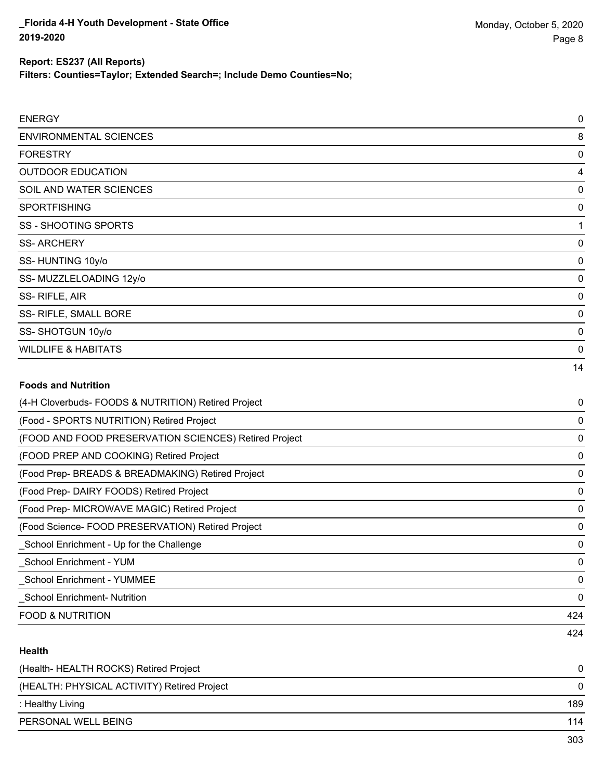**Filters: Counties=Taylor; Extended Search=; Include Demo Counties=No;**

| <b>ENERGY</b>                                         | $\mathbf 0$ |
|-------------------------------------------------------|-------------|
| <b>ENVIRONMENTAL SCIENCES</b>                         | 8           |
| <b>FORESTRY</b>                                       | 0           |
| <b>OUTDOOR EDUCATION</b>                              | 4           |
| SOIL AND WATER SCIENCES                               | 0           |
| <b>SPORTFISHING</b>                                   | 0           |
| <b>SS-SHOOTING SPORTS</b>                             | 1           |
| <b>SS-ARCHERY</b>                                     | 0           |
| SS-HUNTING 10y/o                                      | 0           |
| SS-MUZZLELOADING 12y/o                                | 0           |
| SS-RIFLE, AIR                                         | 0           |
| SS- RIFLE, SMALL BORE                                 | 0           |
| SS-SHOTGUN 10y/o                                      | $\Omega$    |
| <b>WILDLIFE &amp; HABITATS</b>                        | 0           |
|                                                       | 14          |
| <b>Foods and Nutrition</b>                            |             |
| (4-H Cloverbuds- FOODS & NUTRITION) Retired Project   | 0           |
| (Food - SPORTS NUTRITION) Retired Project             | 0           |
| (FOOD AND FOOD PRESERVATION SCIENCES) Retired Project | 0           |
| (FOOD PREP AND COOKING) Retired Project               | 0           |

(Food Prep- BREADS & BREADMAKING) Retired Project 0

(Food Prep- DAIRY FOODS) Retired Project 0

(Food Prep- MICROWAVE MAGIC) Retired Project 0

(Food Science- FOOD PRESERVATION) Retired Project 0 \_School Enrichment - Up for the Challenge 0

\_School Enrichment - YUM 0

\_School Enrichment - YUMMEE 0

\_School Enrichment- Nutrition 0

FOOD & NUTRITION 424

### **Health**

| (Health-HEALTH ROCKS) Retired Project       | 0   |
|---------------------------------------------|-----|
| (HEALTH: PHYSICAL ACTIVITY) Retired Project | 0   |
| : Healthy Living                            | 189 |
| PERSONAL WELL BEING                         | 114 |
|                                             | 303 |

424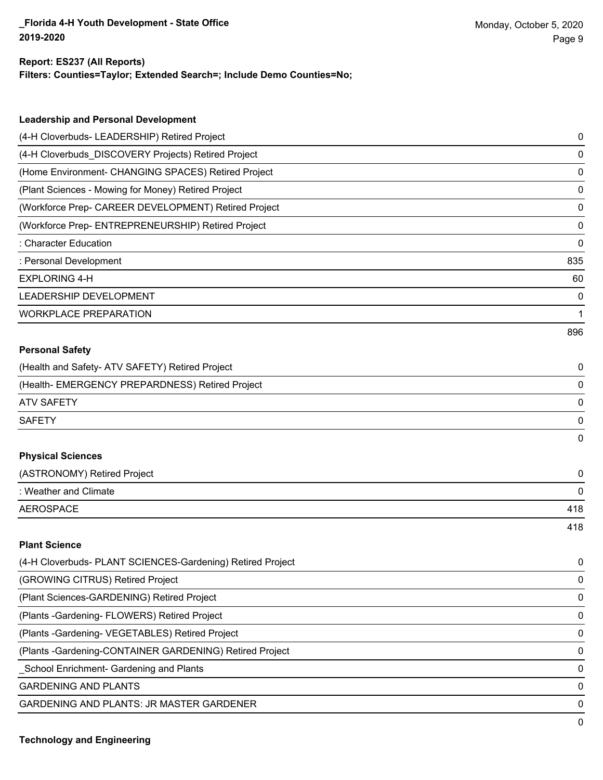## **Filters: Counties=Taylor; Extended Search=; Include Demo Counties=No; Report: ES237 (All Reports)**

| <b>Leadership and Personal Development</b>           |             |
|------------------------------------------------------|-------------|
| (4-H Cloverbuds- LEADERSHIP) Retired Project         | 0           |
| (4-H Cloverbuds_DISCOVERY Projects) Retired Project  | 0           |
| (Home Environment- CHANGING SPACES) Retired Project  | 0           |
| (Plant Sciences - Mowing for Money) Retired Project  | 0           |
| (Workforce Prep- CAREER DEVELOPMENT) Retired Project | 0           |
| (Workforce Prep- ENTREPRENEURSHIP) Retired Project   | 0           |
| : Character Education                                | $\mathbf 0$ |
| : Personal Development                               | 835         |
| <b>EXPLORING 4-H</b>                                 | 60          |
| <b>LEADERSHIP DEVELOPMENT</b>                        | 0           |
| <b>WORKPLACE PREPARATION</b>                         | 1           |
|                                                      | 896         |
| <b>Personal Safety</b>                               |             |
| (Health and Safety- ATV SAFETY) Retired Project      | 0           |
| (Health-EMERGENCY PREPARDNESS) Retired Project       | 0           |
| <b>ATV SAFETY</b>                                    | 0           |
|                                                      |             |

## **Physical Sciences**

| (ASTRONOMY) Retired Project |     |
|-----------------------------|-----|
| : Weather and Climate       |     |
| AEROSPACE                   | 418 |
|                             | 418 |

SAFETY 0

## **Plant Science**

| (4-H Cloverbuds- PLANT SCIENCES-Gardening) Retired Project | $\mathbf{0}$ |
|------------------------------------------------------------|--------------|
| (GROWING CITRUS) Retired Project                           | $\mathbf{0}$ |
| (Plant Sciences-GARDENING) Retired Project                 | $\Omega$     |
| (Plants - Gardening - FLOWERS) Retired Project             | $\Omega$     |
| (Plants - Gardening - VEGETABLES) Retired Project          | $\Omega$     |
| (Plants - Gardening-CONTAINER GARDENING) Retired Project   | $\mathbf{0}$ |
| School Enrichment- Gardening and Plants                    | $\Omega$     |
| <b>GARDENING AND PLANTS</b>                                | $\Omega$     |
| <b>GARDENING AND PLANTS: JR MASTER GARDENER</b>            | $\Omega$     |
|                                                            |              |

0